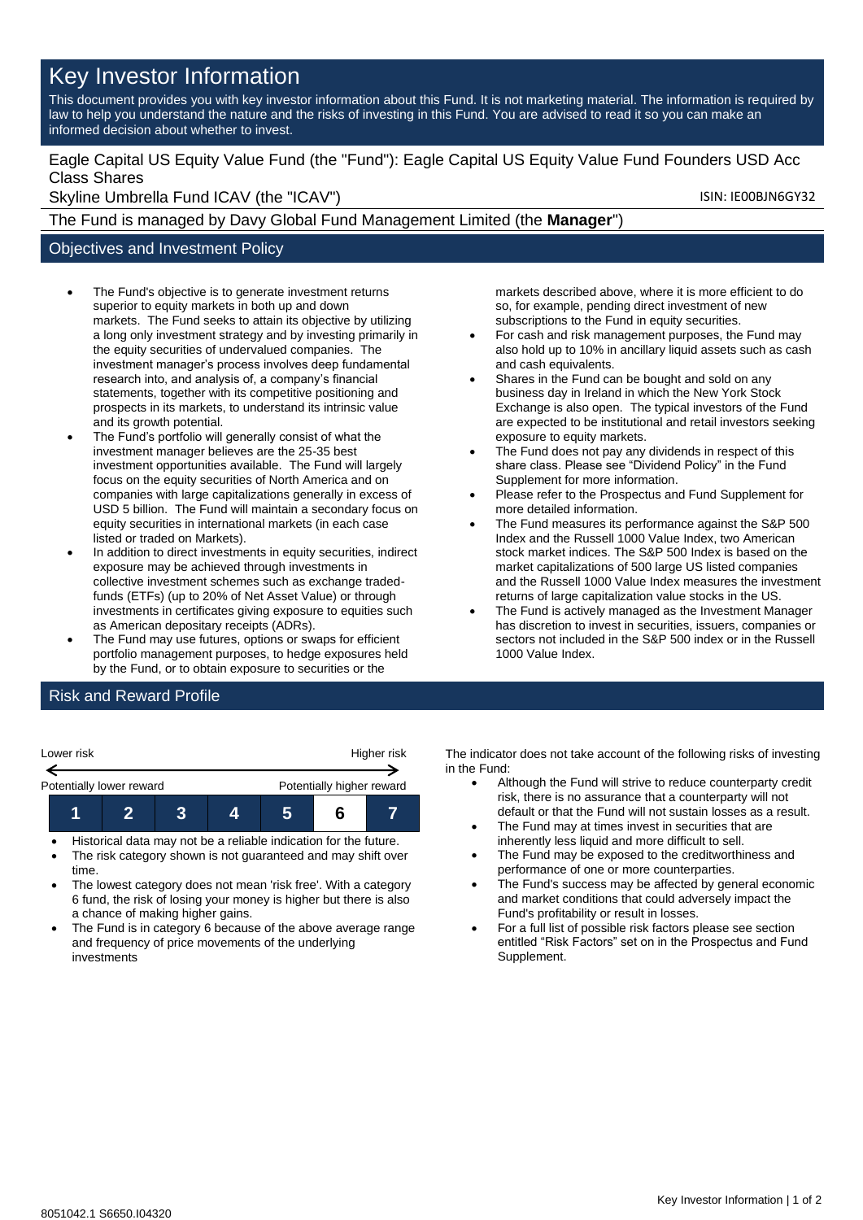# Key Investor Information

This document provides you with key investor information about this Fund. It is not marketing material. The information is required by law to help you understand the nature and the risks of investing in this Fund. You are advised to read it so you can make an informed decision about whether to invest.

### Eagle Capital US Equity Value Fund (the "Fund"): Eagle Capital US Equity Value Fund Founders USD Acc Class Shares

Skyline Umbrella Fund ICAV (the "ICAV") Skyline Umbrella Fund ICAV (the "ICAV")

The Fund is managed by Davy Global Fund Management Limited (the **Manager**")

## Objectives and Investment Policy

- The Fund's objective is to generate investment returns superior to equity markets in both up and down markets. The Fund seeks to attain its objective by utilizing a long only investment strategy and by investing primarily in the equity securities of undervalued companies. The investment manager's process involves deep fundamental research into, and analysis of, a company's financial statements, together with its competitive positioning and prospects in its markets, to understand its intrinsic value and its growth potential.
- The Fund's portfolio will generally consist of what the investment manager believes are the 25-35 best investment opportunities available. The Fund will largely focus on the equity securities of North America and on companies with large capitalizations generally in excess of USD 5 billion. The Fund will maintain a secondary focus on equity securities in international markets (in each case listed or traded on Markets).
- In addition to direct investments in equity securities, indirect exposure may be achieved through investments in collective investment schemes such as exchange tradedfunds (ETFs) (up to 20% of Net Asset Value) or through investments in certificates giving exposure to equities such as American depositary receipts (ADRs).
- The Fund may use futures, options or swaps for efficient portfolio management purposes, to hedge exposures held by the Fund, or to obtain exposure to securities or the

markets described above, where it is more efficient to do so, for example, pending direct investment of new subscriptions to the Fund in equity securities.

- For cash and risk management purposes, the Fund may also hold up to 10% in ancillary liquid assets such as cash and cash equivalents.
- Shares in the Fund can be bought and sold on any business day in Ireland in which the New York Stock Exchange is also open. The typical investors of the Fund are expected to be institutional and retail investors seeking exposure to equity markets.
- The Fund does not pay any dividends in respect of this share class. Please see "Dividend Policy" in the Fund Supplement for more information.
- Please refer to the Prospectus and Fund Supplement for more detailed information.
- The Fund measures its performance against the S&P 500 Index and the Russell 1000 Value Index, two American stock market indices. The S&P 500 Index is based on the market capitalizations of 500 large US listed companies and the Russell 1000 Value Index measures the investment returns of large capitalization value stocks in the US.
- The Fund is actively managed as the Investment Manager has discretion to invest in securities, issuers, companies or sectors not included in the S&P 500 index or in the Russell 1000 Value Index.

## Risk and Reward Profile

| Lower risk               |  | Higher risk |  |                           |  |  |
|--------------------------|--|-------------|--|---------------------------|--|--|
| Potentially lower reward |  |             |  | Potentially higher reward |  |  |
|                          |  |             |  |                           |  |  |

- Historical data may not be a reliable indication for the future.
- The risk category shown is not guaranteed and may shift over time.
- The lowest category does not mean 'risk free'. With a category 6 fund, the risk of losing your money is higher but there is also a chance of making higher gains.
- The Fund is in category 6 because of the above average range and frequency of price movements of the underlying investments

The indicator does not take account of the following risks of investing in the Fund:

- Although the Fund will strive to reduce counterparty credit risk, there is no assurance that a counterparty will not default or that the Fund will not sustain losses as a result.
- The Fund may at times invest in securities that are inherently less liquid and more difficult to sell.
- The Fund may be exposed to the creditworthiness and performance of one or more counterparties.
- The Fund's success may be affected by general economic and market conditions that could adversely impact the Fund's profitability or result in losses.
- For a full list of possible risk factors please see section entitled "Risk Factors" set on in the Prospectus and Fund Supplement.